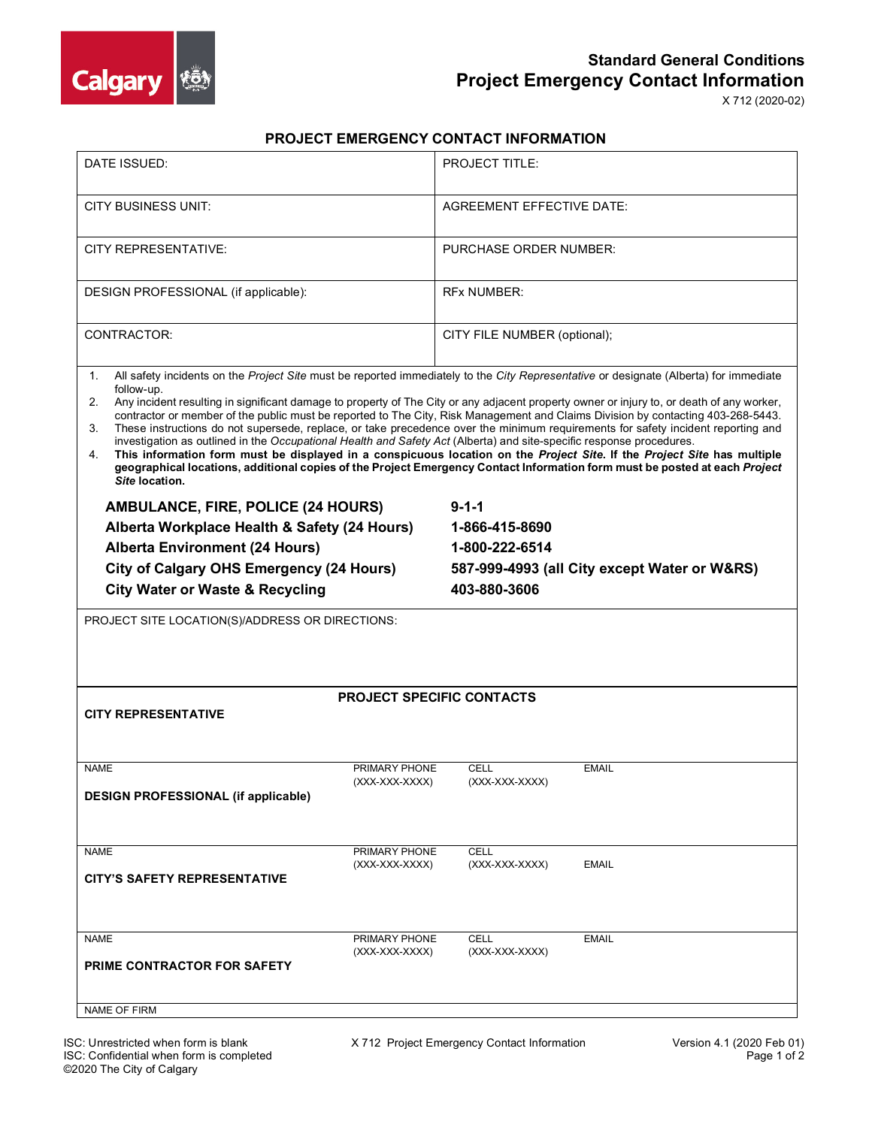

## **Standard General Conditions Project Emergency Contact Information**

X 712 (2020-02)

## **PROJECT EMERGENCY CONTACT INFORMATION**

| DATE ISSUED:                                                                                                                                                                                                                                                                                                                                                                                                                                                                                                                                                                                                                                                                                                                                                                                                                                                                                                                                                                                        | PROJECT TITLE:                               |  |  |  |
|-----------------------------------------------------------------------------------------------------------------------------------------------------------------------------------------------------------------------------------------------------------------------------------------------------------------------------------------------------------------------------------------------------------------------------------------------------------------------------------------------------------------------------------------------------------------------------------------------------------------------------------------------------------------------------------------------------------------------------------------------------------------------------------------------------------------------------------------------------------------------------------------------------------------------------------------------------------------------------------------------------|----------------------------------------------|--|--|--|
| CITY BUSINESS UNIT:                                                                                                                                                                                                                                                                                                                                                                                                                                                                                                                                                                                                                                                                                                                                                                                                                                                                                                                                                                                 | <b>AGREEMENT EFFECTIVE DATE:</b>             |  |  |  |
| CITY REPRESENTATIVE:                                                                                                                                                                                                                                                                                                                                                                                                                                                                                                                                                                                                                                                                                                                                                                                                                                                                                                                                                                                | PURCHASE ORDER NUMBER:                       |  |  |  |
| DESIGN PROFESSIONAL (if applicable):                                                                                                                                                                                                                                                                                                                                                                                                                                                                                                                                                                                                                                                                                                                                                                                                                                                                                                                                                                | <b>RFX NUMBER:</b>                           |  |  |  |
| CONTRACTOR:                                                                                                                                                                                                                                                                                                                                                                                                                                                                                                                                                                                                                                                                                                                                                                                                                                                                                                                                                                                         | CITY FILE NUMBER (optional);                 |  |  |  |
| All safety incidents on the Project Site must be reported immediately to the City Representative or designate (Alberta) for immediate<br>1.<br>follow-up.<br>2.<br>Any incident resulting in significant damage to property of The City or any adjacent property owner or injury to, or death of any worker,<br>contractor or member of the public must be reported to The City, Risk Management and Claims Division by contacting 403-268-5443.<br>These instructions do not supersede, replace, or take precedence over the minimum requirements for safety incident reporting and<br>3.<br>investigation as outlined in the Occupational Health and Safety Act (Alberta) and site-specific response procedures.<br>This information form must be displayed in a conspicuous location on the Project Site. If the Project Site has multiple<br>4.<br>geographical locations, additional copies of the Project Emergency Contact Information form must be posted at each Project<br>Site location. |                                              |  |  |  |
| <b>AMBULANCE, FIRE, POLICE (24 HOURS)</b>                                                                                                                                                                                                                                                                                                                                                                                                                                                                                                                                                                                                                                                                                                                                                                                                                                                                                                                                                           | $9 - 1 - 1$                                  |  |  |  |
| Alberta Workplace Health & Safety (24 Hours)                                                                                                                                                                                                                                                                                                                                                                                                                                                                                                                                                                                                                                                                                                                                                                                                                                                                                                                                                        | 1-866-415-8690                               |  |  |  |
| <b>Alberta Environment (24 Hours)</b>                                                                                                                                                                                                                                                                                                                                                                                                                                                                                                                                                                                                                                                                                                                                                                                                                                                                                                                                                               | 1-800-222-6514                               |  |  |  |
| <b>City of Calgary OHS Emergency (24 Hours)</b>                                                                                                                                                                                                                                                                                                                                                                                                                                                                                                                                                                                                                                                                                                                                                                                                                                                                                                                                                     | 587-999-4993 (all City except Water or W&RS) |  |  |  |
| <b>City Water or Waste &amp; Recycling</b>                                                                                                                                                                                                                                                                                                                                                                                                                                                                                                                                                                                                                                                                                                                                                                                                                                                                                                                                                          | 403-880-3606                                 |  |  |  |
| PROJECT SITE LOCATION(S)/ADDRESS OR DIRECTIONS:                                                                                                                                                                                                                                                                                                                                                                                                                                                                                                                                                                                                                                                                                                                                                                                                                                                                                                                                                     |                                              |  |  |  |
| <b>PROJECT SPECIFIC CONTACTS</b><br><b>CITY REPRESENTATIVE</b>                                                                                                                                                                                                                                                                                                                                                                                                                                                                                                                                                                                                                                                                                                                                                                                                                                                                                                                                      |                                              |  |  |  |
|                                                                                                                                                                                                                                                                                                                                                                                                                                                                                                                                                                                                                                                                                                                                                                                                                                                                                                                                                                                                     |                                              |  |  |  |
| <b>NAME</b><br>PRIMARY PHONE                                                                                                                                                                                                                                                                                                                                                                                                                                                                                                                                                                                                                                                                                                                                                                                                                                                                                                                                                                        | <b>CELL</b><br><b>EMAIL</b>                  |  |  |  |
| (XXX-XXX-XXXX)<br><b>DESIGN PROFESSIONAL (if applicable)</b>                                                                                                                                                                                                                                                                                                                                                                                                                                                                                                                                                                                                                                                                                                                                                                                                                                                                                                                                        | (XXX-XXX-XXXX)                               |  |  |  |
| <b>NAME</b><br>PRIMARY PHONE                                                                                                                                                                                                                                                                                                                                                                                                                                                                                                                                                                                                                                                                                                                                                                                                                                                                                                                                                                        | <b>CELL</b>                                  |  |  |  |
| (XXX-XXX-XXXX)<br><b>CITY'S SAFETY REPRESENTATIVE</b>                                                                                                                                                                                                                                                                                                                                                                                                                                                                                                                                                                                                                                                                                                                                                                                                                                                                                                                                               | (XXX-XXX-XXXX)<br><b>EMAIL</b>               |  |  |  |
| <b>NAME</b><br>PRIMARY PHONE                                                                                                                                                                                                                                                                                                                                                                                                                                                                                                                                                                                                                                                                                                                                                                                                                                                                                                                                                                        | <b>CELL</b><br><b>EMAIL</b>                  |  |  |  |
| (XXX-XXX-XXXX)<br><b>PRIME CONTRACTOR FOR SAFETY</b>                                                                                                                                                                                                                                                                                                                                                                                                                                                                                                                                                                                                                                                                                                                                                                                                                                                                                                                                                | (XXX-XXX-XXXX)                               |  |  |  |
| <b>NAME OF FIRM</b>                                                                                                                                                                                                                                                                                                                                                                                                                                                                                                                                                                                                                                                                                                                                                                                                                                                                                                                                                                                 |                                              |  |  |  |